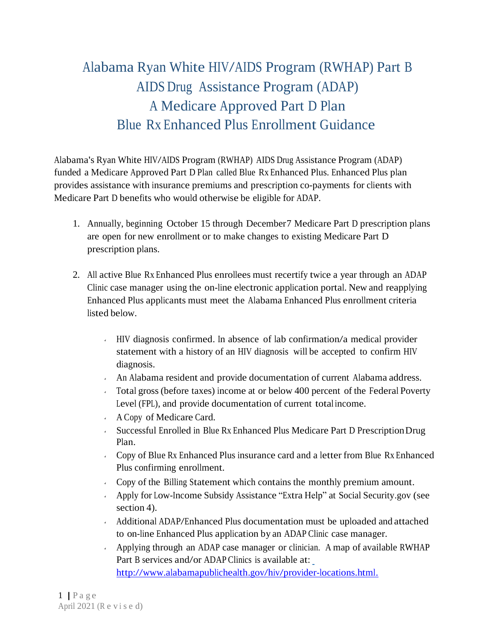## Alabama Ryan White HIV/AIDS Program (RWHAP) Part <sup>B</sup> AIDS Drug Assistance Program (ADAP) A Medicare Approved Part D Plan Blue Rx Enhanced Plus Enrollment Guidance

Alabama's Ryan White HIV/AIDS Program (RWHAP) AIDS Drug Assistance Program (ADAP) funded a Medicare Approved Part D Plan called Blue Rx Enhanced Plus. Enhanced Plus plan provides assistance with insurance premiums and prescription co-payments for clients with Medicare Part D benefits who would otherwise be eligible for ADAP.

- 1. Annually, beginning October 15 through December7 Medicare Part D prescription plans are open for new enrollment or to make changes to existing Medicare Part D prescription plans.
- 2. All active Blue Rx Enhanced Plus enrollees must recertify twice a year through an ADAP Clinic case manager using the on-line electronic application portal. New and reapplying Enhanced Plus applicants must meet the Alabama Enhanced Plus enrollment criteria listed below.
	- HIV diagnosis confirmed. In absence of lab confirmation/a medical provider statement with a history of an HIV diagnosis will be accepted to confirm HIV diagnosis.
	- $\sim$  An Alabama resident and provide documentation of current Alabama address.
	- Total gross (before taxes) income at or below 400 percent of the Federal Poverty Level (FPL), and provide documentation of current total income.
	- A Copy of Medicare Card.
	- Successful Enrolled in Blue Rx Enhanced Plus Medicare Part D PrescriptionDrug Plan.
	- Copy of Blue Rx Enhanced Plus insurance card and a letter from Blue Rx Enhanced Plus confirming enrollment.
	- Copy of the Billing Statement which contains the monthly premium amount.
	- Apply for Low-Income Subsidy Assistance "Extra Help" at Social Security.gov (see section 4).
	- Additional ADAP/Enhanced Plus documentation must be uploaded and attached to on-line Enhanced Plus application by an ADAP Clinic case manager.
	- Applying through an ADAP case manager or clinician. A map of available RWHAP Part <sup>B</sup> services and/or ADAP Clinics is available at: <http://www.alabamapublichealth.gov/hiv/provider-locations.html.>